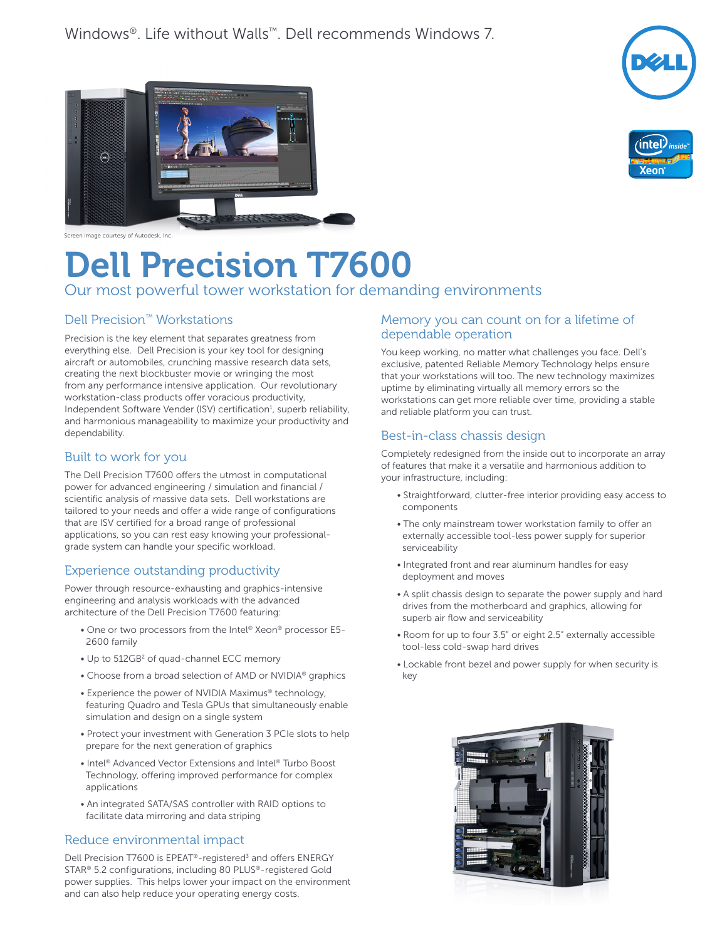





Screen image courtesy of Autodesk, Inc.

# Dell Precision T7600

# Our most powerful tower workstation for demanding environments

## Dell Precision™ Workstations

Precision is the key element that separates greatness from everything else. Dell Precision is your key tool for designing aircraft or automobiles, crunching massive research data sets, creating the next blockbuster movie or wringing the most from any performance intensive application. Our revolutionary workstation-class products offer voracious productivity, Independent Software Vender (ISV) certification $<sup>1</sup>$ , superb reliability,</sup> and harmonious manageability to maximize your productivity and dependability.

### Built to work for you

The Dell Precision T7600 offers the utmost in computational power for advanced engineering / simulation and financial / scientific analysis of massive data sets. Dell workstations are tailored to your needs and offer a wide range of configurations that are ISV certified for a broad range of professional applications, so you can rest easy knowing your professionalgrade system can handle your specific workload.

# Experience outstanding productivity

Power through resource-exhausting and graphics-intensive engineering and analysis workloads with the advanced architecture of the Dell Precision T7600 featuring:

- One or two processors from the Intel® Xeon® processor E5- 2600 family
- Up to 512GB<sup>2</sup> of quad-channel ECC memory
- Choose from a broad selection of AMD or NVIDIA® graphics
- Experience the power of NVIDIA Maximus® technology, featuring Quadro and Tesla GPUs that simultaneously enable simulation and design on a single system
- Protect your investment with Generation 3 PCIe slots to help prepare for the next generation of graphics
- Intel® Advanced Vector Extensions and Intel® Turbo Boost Technology, offering improved performance for complex applications
- An integrated SATA/SAS controller with RAID options to facilitate data mirroring and data striping

### Reduce environmental impact

Dell Precision T7600 is EPEAT<sup>®</sup>-registered<sup>3</sup> and offers ENERGY STAR® 5.2 configurations, including 80 PLUS®-registered Gold power supplies. This helps lower your impact on the environment and can also help reduce your operating energy costs.

### Memory you can count on for a lifetime of dependable operation

You keep working, no matter what challenges you face. Dell's exclusive, patented Reliable Memory Technology helps ensure that your workstations will too. The new technology maximizes uptime by eliminating virtually all memory errors so the workstations can get more reliable over time, providing a stable and reliable platform you can trust.

### Best-in-class chassis design

Completely redesigned from the inside out to incorporate an array of features that make it a versatile and harmonious addition to your infrastructure, including:

- Straightforward, clutter-free interior providing easy access to components
- The only mainstream tower workstation family to offer an externally accessible tool-less power supply for superior serviceability
- Integrated front and rear aluminum handles for easy deployment and moves
- A split chassis design to separate the power supply and hard drives from the motherboard and graphics, allowing for superb air flow and serviceability
- Room for up to four 3.5" or eight 2.5" externally accessible tool-less cold-swap hard drives
- Lockable front bezel and power supply for when security is key